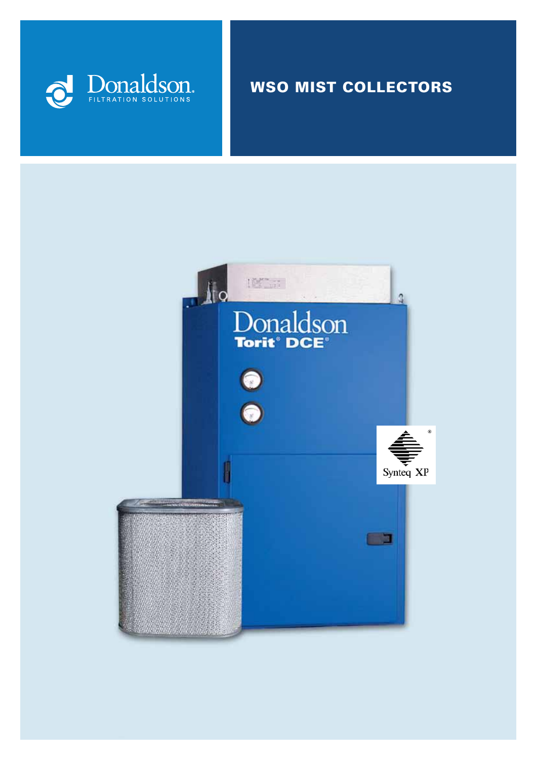

# WSO MIST COLLECTORS

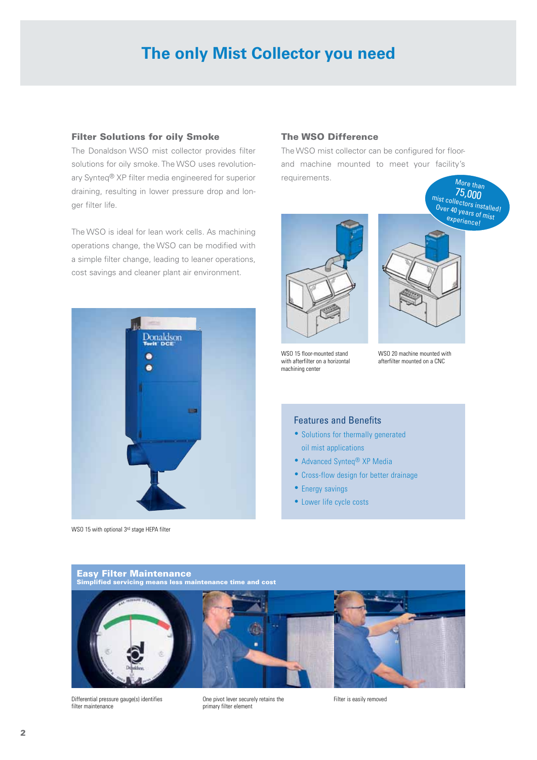# **The only Mist Collector you need**

#### Filter Solutions for oily Smoke

The Donaldson WSO mist collector provides filter solutions for oily smoke. The WSO uses revolutionary Synteq® XP filter media engineered for superior draining, resulting in lower pressure drop and longer filter life.

The WSO is ideal for lean work cells. As machining operations change, the WSO can be modified with a simple filter change, leading to leaner operations, cost savings and cleaner plant air environment.



WSO 15 with optional 3rd stage HEPA filter

## The WSO Difference

The WSO mist collector can be configured for floorand machine mounted to meet your facility's requirements. More than<br>75,000



WSO 15 floor-mounted stand with afterfilter on a horizontal machining center



mist collectors installed!

WSO 20 machine mounted with afterfilter mounted on a CNC

#### Features and Benefits

- Solutions for thermally generated oil mist applications
- Advanced Synteq® XP Media
- Cross-flow design for better drainage
- Energy savings
- Lower life cycle costs



Differential pressure gauge(s) identifies filter maintenance

One pivot lever securely retains the primary filter element

Filter is easily removed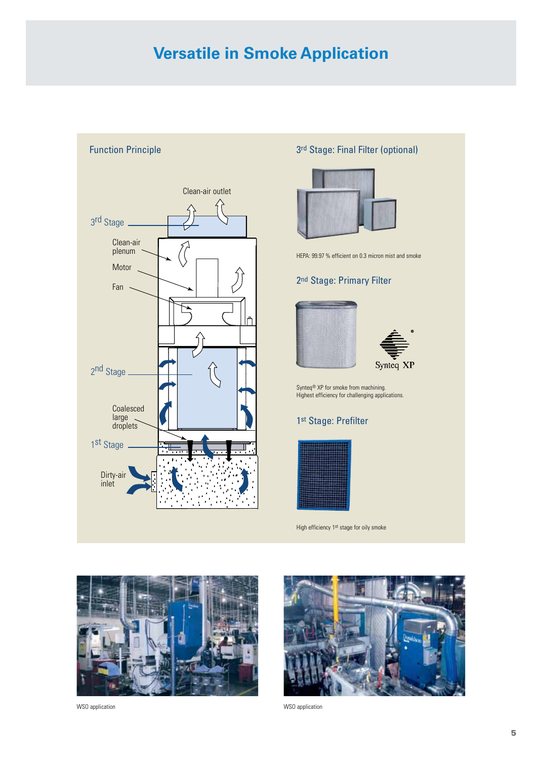# **Versatile in Smoke Application**



# 3rd Stage: Final Filter (optional)



HEPA: 99.97 % efficient on 0.3 micron mist and smoke

## 2nd Stage: Primary Filter





Synteq® XP for smoke from machining. Highest efficiency for challenging applications.

# 1st Stage: Prefilter



High efficiency 1st stage for oily smoke



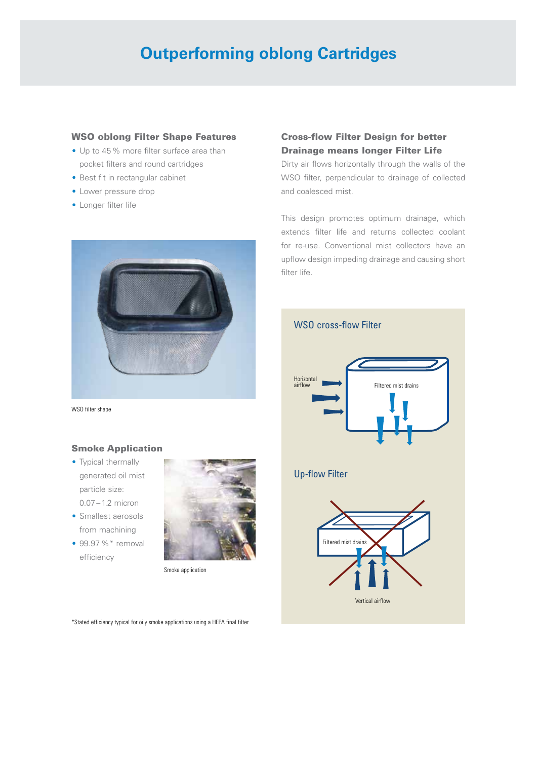# **Outperforming oblong Cartridges**

## WSO oblong Filter Shape Features

- •Up to 45% more filter surface area than pocket filters and round cartridges
- Best fit in rectangular cabinet
- •Lower pressure drop
- •Longer filter life



WSO filter shape

## Smoke Application

- Typical thermally generated oil mist particle size: 0.07 – 1.2 micron
- Smallest aerosols from machining
- 99.97 %\* removal efficiency



Smoke application

\*Stated efficiency typical for oily smoke applications using a HEPA final filter.

# Cross-flow Filter Design for better Drainage means longer Filter Life

Dirty air flows horizontally through the walls of the WSO filter, perpendicular to drainage of collected and coalesced mist.

This design promotes optimum drainage, which extends filter life and returns collected coolant for re-use. Conventional mist collectors have an upflow design impeding drainage and causing short filter life.

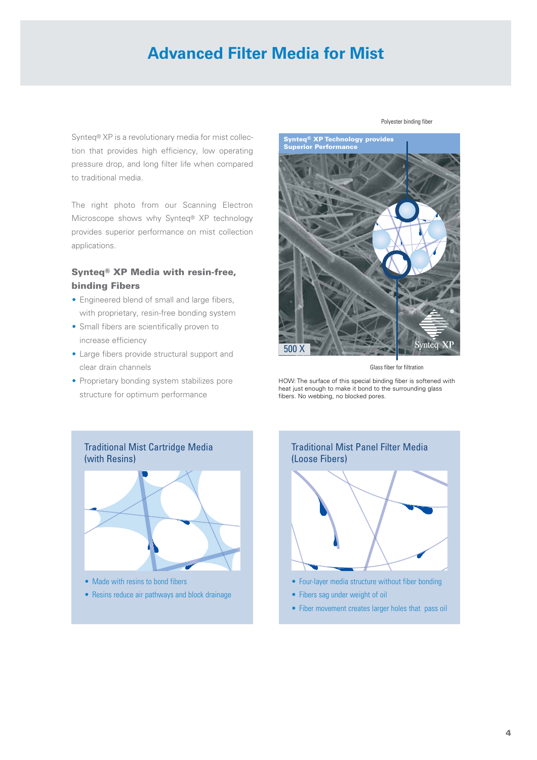# **Advanced Filter Media for Mist**

Synteq® XP is a revolutionary media for mist collection that provides high efficiency, low operating pressure drop, and long filter life when compared to traditional media.

The right photo from our Scanning Electron Microscope shows why Synteq® XP technology provides superior performance on mist collection applications.

# Synteq® XP Media with resin-free, binding Fibers

- Engineered blend of small and large fibers, with proprietary, resin-free bonding system
- •Small fibers are scientifically proven to increase efficiency
- •Large fibers provide structural support and clear drain channels
- Proprietary bonding system stabilizes pore structure for optimum performance



Glass fiber for filtration

HOW: The surface of this special binding fiber is softened with heat just enough to make it bond to the surrounding glass fibers. No webbing, no blocked pores.



• Resins reduce air pathways and block drainage



- Fibers sag under weight of oil
- Fiber movement creates larger holes that pass oil